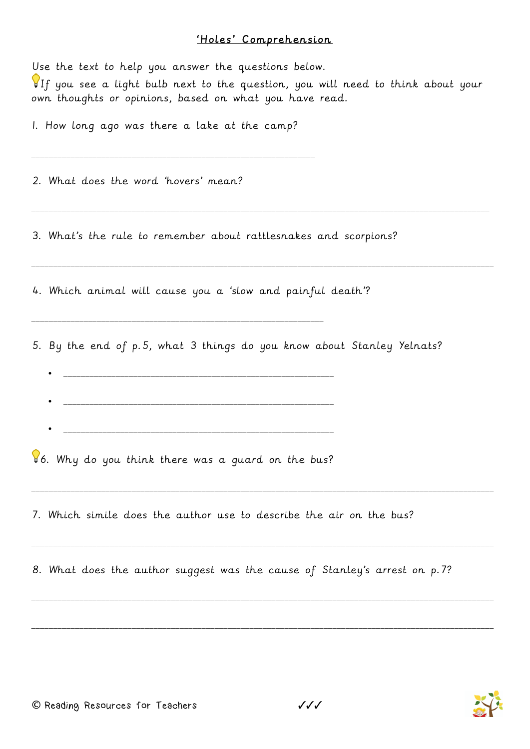## 'Holes' Comprehension

| Use the text to help you answer the questions below.<br>If you see a light bulb next to the question, you will need to think about your<br>own thoughts or opinions, based on what you have read. |
|---------------------------------------------------------------------------------------------------------------------------------------------------------------------------------------------------|
| I. How long ago was there a lake at the camp?                                                                                                                                                     |
| 2. What does the word 'hovers' mean?                                                                                                                                                              |
| 3. What's the rule to remember about rattlesnakes and scorpions?                                                                                                                                  |
| 4. Which animal will cause you a 'slow and painful death'?                                                                                                                                        |
| 5. By the end of p.5, what 3 things do you know about Stanley Yelnats?                                                                                                                            |
| 6. Why do you think there was a guard on the bus?                                                                                                                                                 |
| 7. Which simile does the author use to describe the air on the bus?                                                                                                                               |
| 8. What does the author suggest was the cause of Stanley's arrest on p.7?                                                                                                                         |
|                                                                                                                                                                                                   |